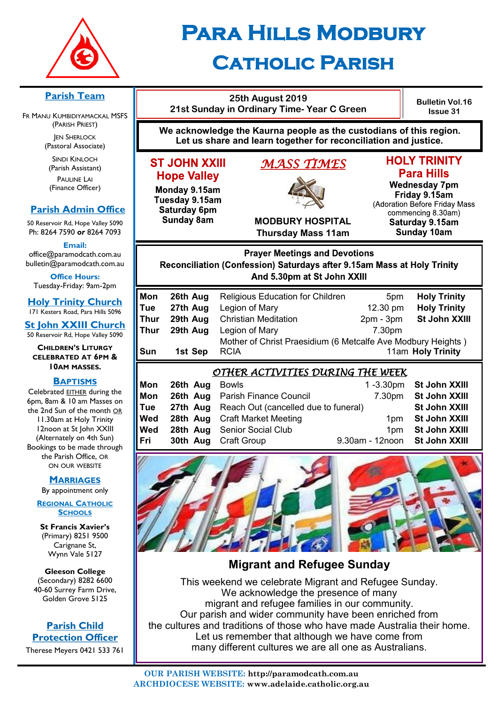

# **Para Hills Modbury Catholic Parish**

#### **Parish Team**

FR MANU KUMBIDIYAMACKAL MSFS (PARISH PRIEST) **JEN SHERLOCK** 

(Pastoral Associate)

SINDI KINLOCH (Parish Assistant) PAULINE LAI (Finance Officer)

# **Parish Admin Office**

50 Reservoir Rd, Hope Valley 5090 Ph: 8264 7590 *or* 8264 7093

**Email:** 

office@paramodcath.com.au bulletin@paramodcath.com.au

**Office Hours:**  Tuesday-Friday: 9am-2pm

**Holy Trinity Church** 171 Kesters Road, Para Hills 5096

**St John XXIII Church** 50 Reservoir Rd, Hope Valley 5090

**CHILDREN'S LITURGY CELEBRATED AT 6PM & 10AM MASSES.**

#### **BAPTISMS**

Celebrated EITHER during the 6pm, 8am & 10 am Masses on the 2nd Sun of the month OR 11.30am at Holy Trinity 12noon at St John XXIII (Alternately on 4th Sun) Bookings to be made through the Parish Office, OR ON OUR WEBSITE

#### **MARRIAGES**

By appointment only

**REGIONAL CATHOLIC SCHOOLS**

**St Francis Xavier's**  (Primary) 8251 9500 Carignane St, Wynn Vale 5127

**Gleeson College**  (Secondary) 8282 6600 40-60 Surrey Farm Drive, Golden Grove 5125

#### **Parish Child Protection Officer**

Therese Meyers 0421 533 761

|                                                                                                                                                | 21st Sunday in Ordinary Time-Year C Green               | <b>Bulletin Vol.16</b><br><b>Issue 31</b>                                                                                                                                                 |                                          |                                                                                                                                                                                   |  |  |  |
|------------------------------------------------------------------------------------------------------------------------------------------------|---------------------------------------------------------|-------------------------------------------------------------------------------------------------------------------------------------------------------------------------------------------|------------------------------------------|-----------------------------------------------------------------------------------------------------------------------------------------------------------------------------------|--|--|--|
| We acknowledge the Kaurna people as the custodians of this region.<br>Let us share and learn together for reconciliation and justice.          |                                                         |                                                                                                                                                                                           |                                          |                                                                                                                                                                                   |  |  |  |
| <b>ST JOHN XXIII</b><br><b>Hope Valley</b><br>Monday 9.15am<br>Tuesday 9.15am<br><b>Saturday 6pm</b><br><b>Sunday 8am</b>                      |                                                         | <u>MASS TIMES</u><br><b>MODBURY HOSPITAL</b><br><b>Thursday Mass 11am</b>                                                                                                                 |                                          | <b>HOLY TRINITY</b><br><b>Para Hills</b><br><b>Wednesday 7pm</b><br>Friday 9.15am<br>(Adoration Before Friday Mass<br>commencing 8.30am)<br>Saturday 9.15am<br><b>Sunday 10am</b> |  |  |  |
| <b>Prayer Meetings and Devotions</b><br>Reconciliation (Confession) Saturdays after 9.15am Mass at Holy Trinity<br>And 5.30pm at St John XXIII |                                                         |                                                                                                                                                                                           |                                          |                                                                                                                                                                                   |  |  |  |
| Mon<br>Tue<br>Thur<br><b>Thur</b><br>Sun                                                                                                       | 26th Aug<br>27th Aug<br>29th Aug<br>29th Aug<br>1st Sep | <b>Religious Education for Children</b><br>Legion of Mary<br><b>Christian Meditation</b><br>Legion of Mary<br>Mother of Christ Praesidium (6 Metcalfe Ave Modbury Heights)<br><b>RCIA</b> | 5pm<br>12.30 pm<br>$2pm - 3pm$<br>7.30pm | <b>Holy Trinity</b><br><b>Holy Trinity</b><br>St John XXIII<br>11am Holy Trinity                                                                                                  |  |  |  |
| <u>OTHER ACTIVITIES DURING THE WEEK</u><br>Mon<br><b>Rowle</b><br>1.3.30 $nm$ St.John XXIII<br>26th Aug                                        |                                                         |                                                                                                                                                                                           |                                          |                                                                                                                                                                                   |  |  |  |

| Mon | <b>26th Aug</b> Bowls |                                                      |                               | 1-3.30pm St John XXIII |  |  |  |
|-----|-----------------------|------------------------------------------------------|-------------------------------|------------------------|--|--|--|
| Mon |                       | <b>26th Aug</b> Parish Finance Council               |                               | 7.30pm St John XXIII   |  |  |  |
| Tue |                       | <b>27th Aug</b> Reach Out (cancelled due to funeral) |                               | St John XXIII          |  |  |  |
| Wed |                       | <b>28th Aug</b> Craft Market Meeting                 |                               | 1pm St John XXIII      |  |  |  |
| Wed |                       | 28th Aug Senior Social Club                          |                               | 1pm St John XXIII      |  |  |  |
|     |                       | Fri 30th Aug Craft Group                             | 9.30am - 12noon St John XXIII |                        |  |  |  |
|     |                       |                                                      |                               |                        |  |  |  |



**Migrant and Refugee Sunday**

This weekend we celebrate Migrant and Refugee Sunday. We acknowledge the presence of many migrant and refugee families in our community. Our parish and wider community have been enriched from the cultures and traditions of those who have made Australia their home. Let us remember that although we have come from many different cultures we are all one as Australians.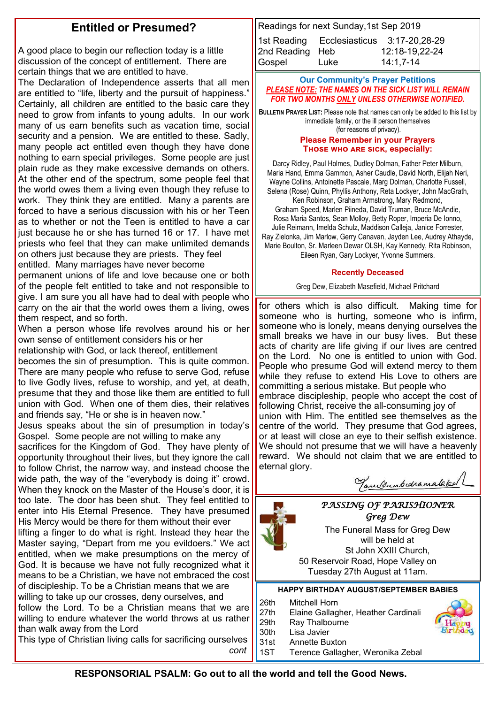# **Entitled or Presumed?**

A good place to begin our reflection today is a little discussion of the concept of entitlement. There are certain things that we are entitled to have.

The Declaration of Independence asserts that all men are entitled to "life, liberty and the pursuit of happiness." Certainly, all children are entitled to the basic care they need to grow from infants to young adults. In our work many of us earn benefits such as vacation time, social security and a pension. We are entitled to these. Sadly, many people act entitled even though they have done nothing to earn special privileges. Some people are just plain rude as they make excessive demands on others. At the other end of the spectrum, some people feel that the world owes them a living even though they refuse to work. They think they are entitled. Many a parents are forced to have a serious discussion with his or her Teen as to whether or not the Teen is entitled to have a car just because he or she has turned 16 or 17. I have met priests who feel that they can make unlimited demands on others just because they are priests. They feel entitled. Many marriages have never become

permanent unions of life and love because one or both of the people felt entitled to take and not responsible to give. I am sure you all have had to deal with people who carry on the air that the world owes them a living, owes them respect, and so forth.

When a person whose life revolves around his or her own sense of entitlement considers his or her

relationship with God, or lack thereof, entitlement

becomes the sin of presumption. This is quite common. There are many people who refuse to serve God, refuse to live Godly lives, refuse to worship, and yet, at death, presume that they and those like them are entitled to full union with God. When one of them dies, their relatives and friends say, "He or she is in heaven now."

Jesus speaks about the sin of presumption in today's Gospel. Some people are not willing to make any

sacrifices for the Kingdom of God. They have plenty of opportunity throughout their lives, but they ignore the call to follow Christ, the narrow way, and instead choose the wide path, the way of the "everybody is doing it" crowd. When they knock on the Master of the House's door, it is too late. The door has been shut. They feel entitled to enter into His Eternal Presence. They have presumed His Mercy would be there for them without their ever lifting a finger to do what is right. Instead they hear the Master saying, "Depart from me you evildoers." We act entitled, when we make presumptions on the mercy of God. It is because we have not fully recognized what it means to be a Christian, we have not embraced the cost of discipleship. To be a Christian means that we are

willing to take up our crosses, deny ourselves, and follow the Lord. To be a Christian means that we are willing to endure whatever the world throws at us rather than walk away from the Lord

This type of Christian living calls for sacrificing ourselves *cont*

Readings for next Sunday,1st Sep 2019 1st Reading Ecclesiasticus 3:17-20,28-29 2nd Reading Heb 12:18-19,22-24 Gospel Luke 14:1,7-14

#### **Our Community's Prayer Petitions**  *PLEASE NOTE: THE NAMES ON THE SICK LIST WILL REMAIN FOR TWO MONTHS ONLY UNLESS OTHERWISE NOTIFIED.*

**BULLETIN PRAYER LIST:** Please note that names can only be added to this list by immediate family, or the ill person themselves

#### (for reasons of privacy).

#### **Please Remember in your Prayers Those who are sick, especially:**

Darcy Ridley, Paul Holmes, Dudley Dolman, Father Peter Milburn, Maria Hand, Emma Gammon, Asher Caudle, David North, Elijah Neri, Wayne Collins, Antoinette Pascale, Marg Dolman, Charlotte Fussell, Selena (Rose) Quinn, Phyllis Anthony, Reta Lockyer, John MacGrath, Ken Robinson, Graham Armstrong, Mary Redmond,

Graham Speed, Marlen Piineda, David Truman, Bruce McAndie, Rosa Maria Santos, Sean Molloy, Betty Roper, Imperia De Ionno, Julie Reimann, Imelda Schulz, Maddison Calleja, Janice Forrester, Ray Zielonka, Jim Marlow, Gerry Canavan, Jayden Lee, Audrey Athayde, Marie Boulton, Sr. Marleen Dewar OLSH, Kay Kennedy, Rita Robinson, Eileen Ryan, Gary Lockyer, Yvonne Summers.

#### **Recently Deceased**

Greg Dew, Elizabeth Masefield, Michael Pritchard

for others which is also difficult. Making time for someone who is hurting, someone who is infirm, someone who is lonely, means denying ourselves the small breaks we have in our busy lives. But these acts of charity are life giving if our lives are centred on the Lord. No one is entitled to union with God. People who presume God will extend mercy to them while they refuse to extend His Love to others are committing a serious mistake. But people who embrace discipleship, people who accept the cost of following Christ, receive the all-consuming joy of union with Him. The entitled see themselves as the centre of the world. They presume that God agrees, or at least will close an eye to their selfish existence. We should not presume that we will have a heavenly reward. We should not claim that we are entitled to eternal glory.

Tanulsumbedramalak

#### *PASSING OF PARISHIONER Greg Dew*

The Funeral Mass for Greg Dew will be held at St John XXIII Church, 50 Reservoir Road, Hope Valley on Tuesday 27th August at 11am.

#### **HAPPY BIRTHDAY AUGUST/SEPTEMBER BABIES**

26th Mitchell Horn

27th Elaine Gallagher, Heather Cardinali

- 29th Ray Thalbourne
- 30th Lisa Javier 31st Annette Buxton
- 1ST Terence Gallagher, Weronika Zebal

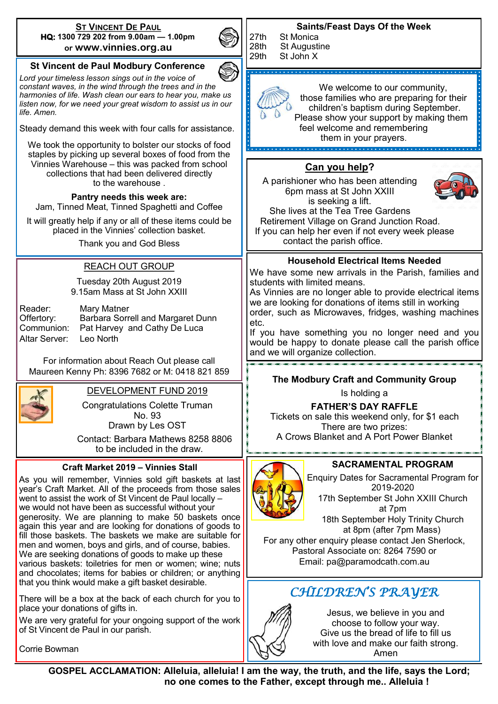#### **ST VINCENT DE PAUL HQ: 1300 729 202 from 9.00am — 1.00pm or www.vinnies.org.au**

**St Vincent de Paul Modbury Conference** *Lord your timeless lesson sings out in the voice of constant waves, in the wind through the trees and in the harmonies of life. Wash clean our ears to hear you, make us listen now, for we need your great wisdom to assist us in our* 

Steady demand this week with four calls for assistance. We took the opportunity to bolster our stocks of food staples by picking up several boxes of food from the Vinnies Warehouse – this was packed from school collections that had been delivered directly to the warehouse . **Pantry needs this week are:**  Jam, Tinned Meat, Tinned Spaghetti and Coffee It will greatly help if any or all of these items could be placed in the Vinnies' collection basket. Thank you and God Bless

REACH OUT GROUP



#### **Saints/Feast Days Of the Week**

27th St Monica<br>28th St Augusti 28th St Augustine<br>29th St John X St John X

> We welcome to our community, those families who are preparing for their children's baptism during September. Please show your support by making them feel welcome and remembering them in your prayers.

# **Can you help?**

A parishioner who has been attending 6pm mass at St John XXIII is seeking a lift. She lives at the Tea Tree Gardens



 Retirement Village on Grand Junction Road. If you can help her even if not every week please contact the parish office.

#### **Household Electrical Items Needed**

We have some new arrivals in the Parish, families and students with limited means.

As Vinnies are no longer able to provide electrical items we are looking for donations of items still in working order, such as Microwaves, fridges, washing machines

If you have something you no longer need and you would be happy to donate please call the parish office

# **The Modbury Craft and Community Group**

Tickets on sale this weekend only, for \$1 each There are two prizes: A Crows Blanket and A Port Power Blanket

#### **SACRAMENTAL PROGRAM**

Enquiry Dates for Sacramental Program for 2019-2020 17th September St John XXIII Church

at 7pm

at 8pm (after 7pm Mass)

Pastoral Associate on: 8264 7590 or Email: pa@paramodcath.com.au

# *CHILDREN'S PRAYER*

Jesus, we believe in you and

choose to follow your way. Give us the bread of life to fill us with love and make our faith strong. Amen

DEVELOPMENT FUND 2019 Congratulations Colette Truman No. 93 Drawn by Les OST Contact: Barbara Mathews 8258 8806 to be included in the draw. Tuesday 20th August 2019 9.15am Mass at St John XXIII Reader: Mary Matner Offertory: Barbara Sorrell and Margaret Dunn Communion: Pat Harvey and Cathy De Luca Altar Server: Leo North For information about Reach Out please call Maureen Kenny Ph: 8396 7682 or M: 0418 821 859 18th September Holy Trinity Church For any other enquiry please contact Jen Sherlock, **Craft Market 2019 – Vinnies Stall** As you will remember, Vinnies sold gift baskets at last year's Craft Market. All of the proceeds from those sales went to assist the work of St Vincent de Paul locally – we would not have been as successful without your generosity. We are planning to make 50 baskets once again this year and are looking for donations of goods to fill those baskets. The baskets we make are suitable for men and women, boys and girls, and of course, babies. We are seeking donations of goods to make up these various baskets: toiletries for men or women; wine; nuts and chocolates; items for babies or children; or anything that you think would make a gift basket desirable. etc. and we will organize collection. Is holding a **FATHER'S DAY RAFFLE**

There will be a box at the back of each church for you to place your donations of gifts in.

We are very grateful for your ongoing support of the work of St Vincent de Paul in our parish.

Corrie Bowman

 **GOSPEL ACCLAMATION: Alleluia, alleluia! I am the way, the truth, and the life, says the Lord; no one comes to the Father, except through me.. Alleluia !**



*life. Amen.*